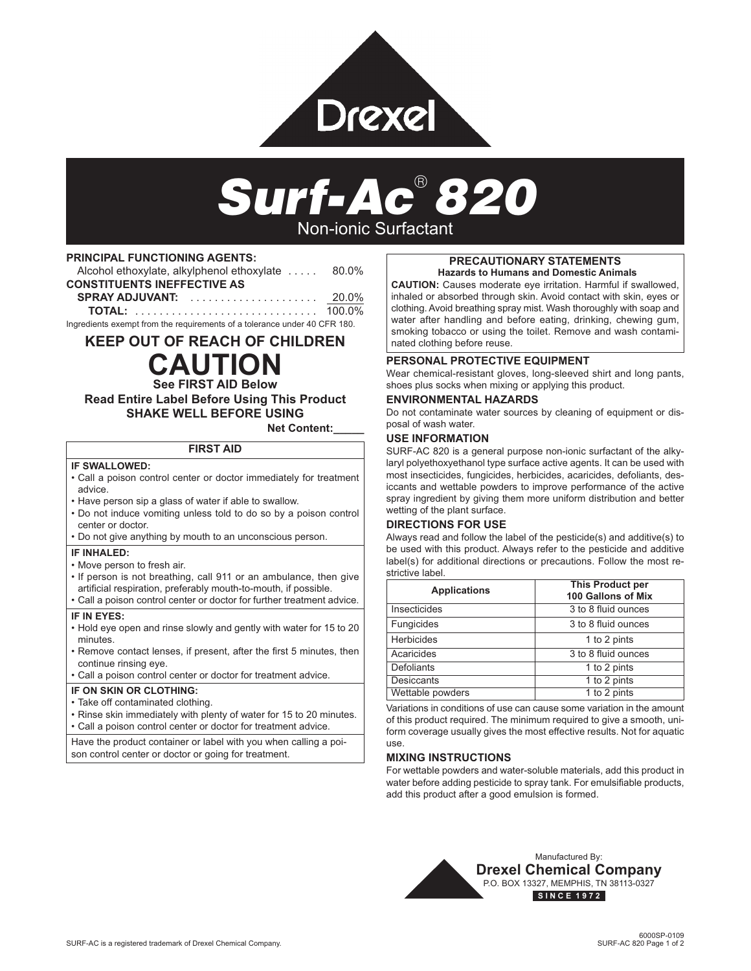# **Drexel** Surf-Ac® 820 Non-ionic Surfactant

#### **PRINCIPAL FUNCTIONING AGENTS:**

| Alcohol ethoxylate, alkylphenol ethoxylate  80.0%                         |  |  |
|---------------------------------------------------------------------------|--|--|
| <b>CONSTITUENTS INEFFECTIVE AS</b>                                        |  |  |
| <b>SPRAY ADJUVANT:</b> $\ldots \ldots \ldots \ldots \ldots \ldots$ 20.0%  |  |  |
|                                                                           |  |  |
| Ingredients exempt from the requirements of a tolerance under 40 CFR 180. |  |  |

## **KEEP OUT OF REACH OF CHILDREN CAUTION**

## **See FIRST AID Below Read Entire Label Before Using This Product SHAKE WELL BEFORE USING**

**Net Content:** 

### **FIRST AID**

#### **IF SWALLOWED:**

- Call a poison control center or doctor immediately for treatment advice.
- Have person sip a glass of water if able to swallow.
- Do not induce vomiting unless told to do so by a poison control center or doctor.
- Do not give anything by mouth to an unconscious person.

#### **IF INHALED:**

- Move person to fresh air.
- If person is not breathing, call 911 or an ambulance, then give artificial respiration, preferably mouth-to-mouth, if possible.
- Call a poison control center or doctor for further treatment advice.

#### **IF IN EYES:**

- Hold eye open and rinse slowly and gently with water for 15 to 20 minutes.
- Remove contact lenses, if present, after the first 5 minutes, then continue rinsing eye.
- Call a poison control center or doctor for treatment advice.

#### **IF ON SKIN OR CLOTHING:**

- Take off contaminated clothing.
- Rinse skin immediately with plenty of water for 15 to 20 minutes.
- Call a poison control center or doctor for treatment advice.

Have the product container or label with you when calling a poison control center or doctor or going for treatment.

#### **PRECAUTIONARY STATEMENTS Hazards to Humans and Domestic Animals**

**CAUTION:** Causes moderate eye irritation. Harmful if swallowed, inhaled or absorbed through skin. Avoid contact with skin, eyes or clothing. Avoid breathing spray mist. Wash thoroughly with soap and water after handling and before eating, drinking, chewing gum, smoking tobacco or using the toilet. Remove and wash contaminated clothing before reuse.

#### **PERSONAL PROTECTIVE EQUIPMENT**

Wear chemical-resistant gloves, long-sleeved shirt and long pants, shoes plus socks when mixing or applying this product.

#### **ENVIRONMENTAL HAZARDS**

Do not contaminate water sources by cleaning of equipment or disposal of wash water.

#### **USE INFORMATION**

SURF-AC 820 is a general purpose non-ionic surfactant of the alkylaryl polyethoxyethanol type surface active agents. It can be used with most insecticides, fungicides, herbicides, acaricides, defoliants, desiccants and wettable powders to improve performance of the active spray ingredient by giving them more uniform distribution and better wetting of the plant surface.

#### **DIRECTIONS FOR USE**

Always read and follow the label of the pesticide(s) and additive(s) to be used with this product. Always refer to the pesticide and additive label(s) for additional directions or precautions. Follow the most restrictive label.

| <b>Applications</b> | <b>This Product per</b><br>100 Gallons of Mix |
|---------------------|-----------------------------------------------|
| Insecticides        | 3 to 8 fluid ounces                           |
| Fungicides          | 3 to 8 fluid ounces                           |
| <b>Herbicides</b>   | 1 to 2 pints                                  |
| Acaricides          | 3 to 8 fluid ounces                           |
| Defoliants          | 1 to 2 pints                                  |
| <b>Desiccants</b>   | 1 to 2 pints                                  |
| Wettable powders    | 1 to 2 pints                                  |

Variations in conditions of use can cause some variation in the amount of this product required. The minimum required to give a smooth, uniform coverage usually gives the most effective results. Not for aquatic use.

#### **MIXING INSTRUCTIONS**

For wettable powders and water-soluble materials, add this product in water before adding pesticide to spray tank. For emulsifiable products, add this product after a good emulsion is formed.